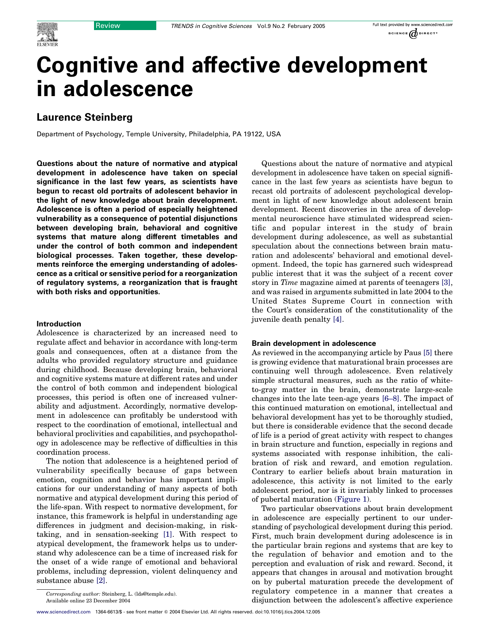

# Cognitive and affective development in adolescence

# Laurence Steinberg

Department of Psychology, Temple University, Philadelphia, PA 19122, USA

Questions about the nature of normative and atypical development in adolescence have taken on special significance in the last few years, as scientists have begun to recast old portraits of adolescent behavior in the light of new knowledge about brain development. Adolescence is often a period of especially heightened vulnerability as a consequence of potential disjunctions between developing brain, behavioral and cognitive systems that mature along different timetables and under the control of both common and independent biological processes. Taken together, these developments reinforce the emerging understanding of adolescence as a critical or sensitive period for a reorganization of regulatory systems, a reorganization that is fraught with both risks and opportunities.

### Introduction

Adolescence is characterized by an increased need to regulate affect and behavior in accordance with long-term goals and consequences, often at a distance from the adults who provided regulatory structure and guidance during childhood. Because developing brain, behavioral and cognitive systems mature at different rates and under the control of both common and independent biological processes, this period is often one of increased vulnerability and adjustment. Accordingly, normative development in adolescence can profitably be understood with respect to the coordination of emotional, intellectual and behavioral proclivities and capabilities, and psychopathology in adolescence may be reflective of difficulties in this coordination process.

The notion that adolescence is a heightened period of vulnerability specifically because of gaps between emotion, cognition and behavior has important implications for our understanding of many aspects of both normative and atypical development during this period of the life-span. With respect to normative development, for instance, this framework is helpful in understanding age differences in judgment and decision-making, in risktaking, and in sensation-seeking [\[1\]](#page-4-0). With respect to atypical development, the framework helps us to understand why adolescence can be a time of increased risk for the onset of a wide range of emotional and behavioral problems, including depression, violent delinquency and substance abuse [\[2\].](#page-4-0)

Questions about the nature of normative and atypical development in adolescence have taken on special significance in the last few years as scientists have begun to recast old portraits of adolescent psychological development in light of new knowledge about adolescent brain development. Recent discoveries in the area of developmental neuroscience have stimulated widespread scientific and popular interest in the study of brain development during adolescence, as well as substantial speculation about the connections between brain maturation and adolescents' behavioral and emotional development. Indeed, the topic has garnered such widespread public interest that it was the subject of a recent cover story in Time magazine aimed at parents of teenagers [\[3\]](#page-4-0), and was raised in arguments submitted in late 2004 to the United States Supreme Court in connection with the Court's consideration of the constitutionality of the juvenile death penalty [\[4\]](#page-4-0).

# Brain development in adolescence

As reviewed in the accompanying article by Paus [\[5\]](#page-4-0) there is growing evidence that maturational brain processes are continuing well through adolescence. Even relatively simple structural measures, such as the ratio of whiteto-gray matter in the brain, demonstrate large-scale changes into the late teen-age years [\[6–8\]](#page-4-0). The impact of this continued maturation on emotional, intellectual and behavioral development has yet to be thoroughly studied, but there is considerable evidence that the second decade of life is a period of great activity with respect to changes in brain structure and function, especially in regions and systems associated with response inhibition, the calibration of risk and reward, and emotion regulation. Contrary to earlier beliefs about brain maturation in adolescence, this activity is not limited to the early adolescent period, nor is it invariably linked to processes of pubertal maturation [\(Figure 1\)](#page-1-0).

Two particular observations about brain development in adolescence are especially pertinent to our understanding of psychological development during this period. First, much brain development during adolescence is in the particular brain regions and systems that are key to the regulation of behavior and emotion and to the perception and evaluation of risk and reward. Second, it appears that changes in arousal and motivation brought on by pubertal maturation precede the development of regulatory competence in a manner that creates a disjunction between the adolescent's affective experience

Corresponding author: Steinberg, L. (lds@temple.edu). Available online 23 December 2004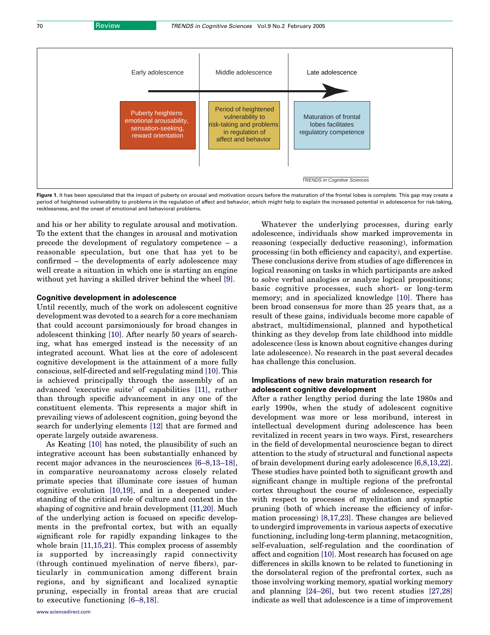<span id="page-1-0"></span>

Figure 1. It has been speculated that the impact of puberty on arousal and motivation occurs before the maturation of the frontal lobes is complete. This gap may create a period of heightened vulnerability to problems in the regulation of affect and behavior, which might help to explain the increased potential in adolescence for risk-taking, recklessness, and the onset of emotional and behavioral problems.

and his or her ability to regulate arousal and motivation. To the extent that the changes in arousal and motivation precede the development of regulatory competence – a reasonable speculation, but one that has yet to be confirmed – the developments of early adolescence may well create a situation in which one is starting an engine without yet having a skilled driver behind the wheel [\[9\]](#page-4-0).

#### Cognitive development in adolescence

Until recently, much of the work on adolescent cognitive development was devoted to a search for a core mechanism that could account parsimoniously for broad changes in adolescent thinking [\[10\]](#page-4-0). After nearly 50 years of searching, what has emerged instead is the necessity of an integrated account. What lies at the core of adolescent cognitive development is the attainment of a more fully conscious, self-directed and self-regulating mind [\[10\].](#page-4-0) This is achieved principally through the assembly of an advanced 'executive suite' of capabilities [\[11\],](#page-4-0) rather than through specific advancement in any one of the constituent elements. This represents a major shift in prevailing views of adolescent cognition, going beyond the search for underlying elements [\[12\]](#page-4-0) that are formed and operate largely outside awareness.

As Keating [\[10\]](#page-4-0) has noted, the plausibility of such an integrative account has been substantially enhanced by recent major advances in the neurosciences [\[6–8,13–18\]](#page-4-0), in comparative neuroanatomy across closely related primate species that illuminate core issues of human cognitive evolution [\[10,19\]](#page-4-0), and in a deepened understanding of the critical role of culture and context in the shaping of cognitive and brain development [\[11,20\]](#page-4-0). Much of the underlying action is focused on specific developments in the prefrontal cortex, but with an equally significant role for rapidly expanding linkages to the whole brain  $[11,15,21]$ . This complex process of assembly is supported by increasingly rapid connectivity (through continued myelination of nerve fibers), particularly in communication among different brain regions, and by significant and localized synaptic pruning, especially in frontal areas that are crucial to executive functioning [\[6–8,18\]](#page-4-0).

Whatever the underlying processes, during early adolescence, individuals show marked improvements in reasoning (especially deductive reasoning), information processing (in both efficiency and capacity), and expertise. These conclusions derive from studies of age differences in logical reasoning on tasks in which participants are asked to solve verbal analogies or analyze logical propositions; basic cognitive processes, such short- or long-term memory; and in specialized knowledge [\[10\].](#page-4-0) There has been broad consensus for more than 25 years that, as a result of these gains, individuals become more capable of abstract, multidimensional, planned and hypothetical thinking as they develop from late childhood into middle adolescence (less is known about cognitive changes during late adolescence). No research in the past several decades has challenge this conclusion.

### Implications of new brain maturation research for adolescent cognitive development

After a rather lengthy period during the late 1980s and early 1990s, when the study of adolescent cognitive development was more or less moribund, interest in intellectual development during adolescence has been revitalized in recent years in two ways. First, researchers in the field of developmental neuroscience began to direct attention to the study of structural and functional aspects of brain development during early adolescence [\[6,8,13,22\]](#page-4-0). These studies have pointed both to significant growth and significant change in multiple regions of the prefrontal cortex throughout the course of adolescence, especially with respect to processes of myelination and synaptic pruning (both of which increase the efficiency of information processing) [\[8,17,23\].](#page-4-0) These changes are believed to undergird improvements in various aspects of executive functioning, including long-term planning, metacognition, self-evaluation, self-regulation and the coordination of affect and cognition [\[10\].](#page-4-0) Most research has focused on age differences in skills known to be related to functioning in the dorsolateral region of the prefrontal cortex, such as those involving working memory, spatial working memory and planning [\[24–26\],](#page-5-0) but two recent studies [\[27,28\]](#page-5-0) indicate as well that adolescence is a time of improvement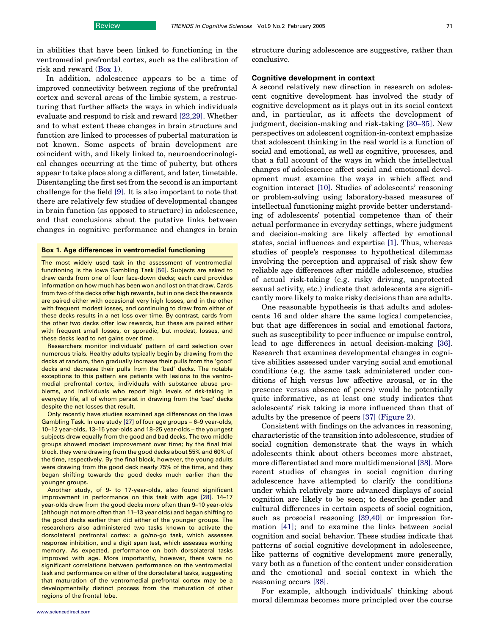in abilities that have been linked to functioning in the ventromedial prefrontal cortex, such as the calibration of risk and reward (Box 1).

In addition, adolescence appears to be a time of improved connectivity between regions of the prefrontal cortex and several areas of the limbic system, a restructuring that further affects the ways in which individuals evaluate and respond to risk and reward [\[22,29\].](#page-5-0) Whether and to what extent these changes in brain structure and function are linked to processes of pubertal maturation is not known. Some aspects of brain development are coincident with, and likely linked to, neuroendocrinological changes occurring at the time of puberty, but others appear to take place along a different, and later, timetable. Disentangling the first set from the second is an important challenge for the field [\[9\]](#page-4-0). It is also important to note that there are relatively few studies of developmental changes in brain function (as opposed to structure) in adolescence, and that conclusions about the putative links between changes in cognitive performance and changes in brain

#### Box 1. Age differences in ventromedial functioning

The most widely used task in the assessment of ventromedial functioning is the Iowa Gambling Task [\[56\]](#page-5-0). Subjects are asked to draw cards from one of four face-down decks; each card provides information on how much has been won and lost on that draw. Cards from two of the decks offer high rewards, but in one deck the rewards are paired either with occasional very high losses, and in the other with frequent modest losses, and continuing to draw from either of these decks results in a net loss over time. By contrast, cards from the other two decks offer low rewards, but these are paired either with frequent small losses, or sporadic, but modest, losses, and these decks lead to net gains over time.

Researchers monitor individuals' pattern of card selection over numerous trials. Healthy adults typically begin by drawing from the decks at random, then gradually increase their pulls from the 'good' decks and decrease their pulls from the 'bad' decks. The notable exceptions to this pattern are patients with lesions to the ventromedial prefrontal cortex, individuals with substance abuse problems, and individuals who report high levels of risk-taking in everyday life, all of whom persist in drawing from the 'bad' decks despite the net losses that result.

Only recently have studies examined age differences on the Iowa Gambling Task. In one study [\[27\]](#page-5-0) of four age groups – 6–9 year-olds, 10–12 year-olds, 13–15 year-olds and 18–25 year-olds – the youngest subjects drew equally from the good and bad decks. The two middle groups showed modest improvement over time; by the final trial block, they were drawing from the good decks about 55% and 60% of the time, respectively. By the final block, however, the young adults were drawing from the good deck nearly 75% of the time, and they began shifting towards the good decks much earlier than the younger groups.

Another study, of 9- to 17-year-olds, also found significant improvement in performance on this task with age [\[28\]](#page-5-0). 14–17 year-olds drew from the good decks more often than 9–10 year-olds (although not more often than 11–13 year olds) and began shifting to the good decks earlier than did either of the younger groups. The researchers also administered two tasks known to activate the dorsolateral prefrontal cortex: a go/no-go task, which assesses response inhibition, and a digit span test, which assesses working memory. As expected, performance on both dorsolateral tasks improved with age. More importantly, however, there were no significant correlations between performance on the ventromedial task and performance on either of the dorsolateral tasks, suggesting that maturation of the ventromedial prefrontal cortex may be a developmentally distinct process from the maturation of other regions of the frontal lobe.

structure during adolescence are suggestive, rather than conclusive.

#### Cognitive development in context

A second relatively new direction in research on adolescent cognitive development has involved the study of cognitive development as it plays out in its social context and, in particular, as it affects the development of judgment, decision-making and risk-taking [\[30–35\]](#page-5-0). New perspectives on adolescent cognition-in-context emphasize that adolescent thinking in the real world is a function of social and emotional, as well as cognitive, processes, and that a full account of the ways in which the intellectual changes of adolescence affect social and emotional development must examine the ways in which affect and cognition interact [\[10\]](#page-4-0). Studies of adolescents' reasoning or problem-solving using laboratory-based measures of intellectual functioning might provide better understanding of adolescents' potential competence than of their actual performance in everyday settings, where judgment and decision-making are likely affected by emotional states, social influences and expertise [\[1\].](#page-4-0) Thus, whereas studies of people's responses to hypothetical dilemmas involving the perception and appraisal of risk show few reliable age differences after middle adolescence, studies of actual risk-taking (e.g. risky driving, unprotected sexual activity, etc.) indicate that adolescents are significantly more likely to make risky decisions than are adults.

One reasonable hypothesis is that adults and adolescents 16 and older share the same logical competencies, but that age differences in social and emotional factors, such as susceptibility to peer influence or impulse control, lead to age differences in actual decision-making [\[36\]](#page-5-0). Research that examines developmental changes in cognitive abilities assessed under varying social and emotional conditions (e.g. the same task administered under conditions of high versus low affective arousal, or in the presence versus absence of peers) would be potentially quite informative, as at least one study indicates that adolescents' risk taking is more influenced than that of adults by the presence of peers [\[37\]](#page-5-0) [\(Figure 2](#page-3-0)).

Consistent with findings on the advances in reasoning, characteristic of the transition into adolescence, studies of social cognition demonstrate that the ways in which adolescents think about others becomes more abstract, more differentiated and more multidimensional [\[38\].](#page-5-0) More recent studies of changes in social cognition during adolescence have attempted to clarify the conditions under which relatively more advanced displays of social cognition are likely to be seen; to describe gender and cultural differences in certain aspects of social cognition, such as prosocial reasoning [\[39,40\]](#page-5-0) or impression formation [\[41\];](#page-5-0) and to examine the links between social cognition and social behavior. These studies indicate that patterns of social cognitive development in adolescence, like patterns of cognitive development more generally, vary both as a function of the content under consideration and the emotional and social context in which the reasoning occurs [\[38\].](#page-5-0)

For example, although individuals' thinking about moral dilemmas becomes more principled over the course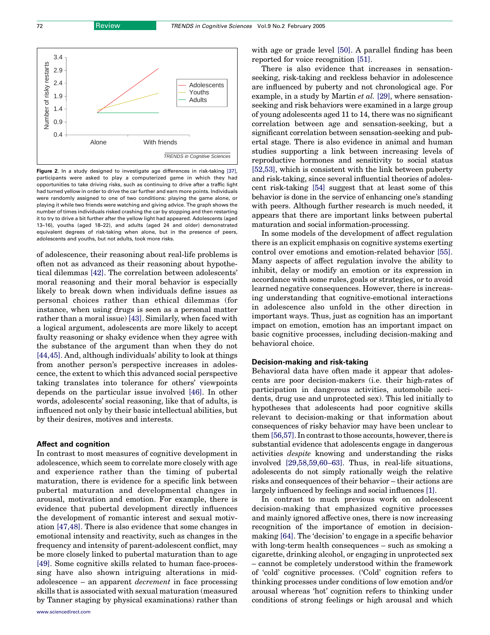<span id="page-3-0"></span>

Figure 2. In a study designed to investigate age differences in risk-taking [\[37\]](#page-5-0), participants were asked to play a computerized game in which they had opportunities to take driving risks, such as continuing to drive after a traffic light had turned yellow in order to drive the car further and earn more points. Individuals were randomly assigned to one of two conditions: playing the game alone, or playing it while two friends were watching and giving advice. The graph shows the number of times individuals risked crashing the car by stopping and then restarting it to try to drive a bit further after the yellow light had appeared. Adolescents (aged 13–16), youths (aged 18–22), and adults (aged 24 and older) demonstrated equivalent degrees of risk-taking when alone, but in the presence of peers, adolescents and youths, but not adults, took more risks.

of adolescence, their reasoning about real-life problems is often not as advanced as their reasoning about hypothetical dilemmas [\[42\].](#page-5-0) The correlation between adolescents' moral reasoning and their moral behavior is especially likely to break down when individuals define issues as personal choices rather than ethical dilemmas (for instance, when using drugs is seen as a personal matter rather than a moral issue) [\[43\]](#page-5-0). Similarly, when faced with a logical argument, adolescents are more likely to accept faulty reasoning or shaky evidence when they agree with the substance of the argument than when they do not [\[44,45\].](#page-5-0) And, although individuals' ability to look at things from another person's perspective increases in adolescence, the extent to which this advanced social perspective taking translates into tolerance for others' viewpoints depends on the particular issue involved [\[46\].](#page-5-0) In other words, adolescents' social reasoning, like that of adults, is influenced not only by their basic intellectual abilities, but by their desires, motives and interests.

# Affect and cognition

In contrast to most measures of cognitive development in adolescence, which seem to correlate more closely with age and experience rather than the timing of pubertal maturation, there is evidence for a specific link between pubertal maturation and developmental changes in arousal, motivation and emotion. For example, there is evidence that pubertal development directly influences the development of romantic interest and sexual motivation [\[47,48\].](#page-5-0) There is also evidence that some changes in emotional intensity and reactivity, such as changes in the frequency and intensity of parent-adolescent conflict, may be more closely linked to pubertal maturation than to age [\[49\].](#page-5-0) Some cognitive skills related to human face-processing have also shown intriguing alterations in midadolescence – an apparent decrement in face processing skills that is associated with sexual maturation (measured by Tanner staging by physical examinations) rather than with age or grade level [\[50\]](#page-5-0). A parallel finding has been reported for voice recognition [\[51\].](#page-5-0)

There is also evidence that increases in sensationseeking, risk-taking and reckless behavior in adolescence are influenced by puberty and not chronological age. For example, in a study by Martin et al. [\[29\],](#page-5-0) where sensationseeking and risk behaviors were examined in a large group of young adolescents aged 11 to 14, there was no significant correlation between age and sensation-seeking, but a significant correlation between sensation-seeking and pubertal stage. There is also evidence in animal and human studies supporting a link between increasing levels of reproductive hormones and sensitivity to social status [\[52,53\]](#page-5-0), which is consistent with the link between puberty and risk-taking, since several influential theories of adolescent risk-taking [\[54\]](#page-5-0) suggest that at least some of this behavior is done in the service of enhancing one's standing with peers. Although further research is much needed, it appears that there are important links between pubertal maturation and social information-processing.

In some models of the development of affect regulation there is an explicit emphasis on cognitive systems exerting control over emotions and emotion-related behavior [\[55\]](#page-5-0). Many aspects of affect regulation involve the ability to inhibit, delay or modify an emotion or its expression in accordance with some rules, goals or strategies, or to avoid learned negative consequences. However, there is increasing understanding that cognitive-emotional interactions in adolescence also unfold in the other direction in important ways. Thus, just as cognition has an important impact on emotion, emotion has an important impact on basic cognitive processes, including decision-making and behavioral choice.

# Decision-making and risk-taking

Behavioral data have often made it appear that adolescents are poor decision-makers (i.e. their high-rates of participation in dangerous activities, automobile accidents, drug use and unprotected sex). This led initially to hypotheses that adolescents had poor cognitive skills relevant to decision-making or that information about consequences of risky behavior may have been unclear to them [\[56,57\].](#page-5-0) In contrast to those accounts, however, there is substantial evidence that adolescents engage in dangerous activities despite knowing and understanding the risks involved [\[29,58,59,60–63\]](#page-5-0). Thus, in real-life situations, adolescents do not simply rationally weigh the relative risks and consequences of their behavior – their actions are largely influenced by feelings and social influences [\[1\]](#page-4-0).

In contrast to much previous work on adolescent decision-making that emphasized cognitive processes and mainly ignored affective ones, there is now increasing recognition of the importance of emotion in decisionmaking [\[64\].](#page-5-0) The 'decision' to engage in a specific behavior with long-term health consequences – such as smoking a cigarette, drinking alcohol, or engaging in unprotected sex – cannot be completely understood within the framework of 'cold' cognitive processes. ('Cold' cognition refers to thinking processes under conditions of low emotion and/or arousal whereas 'hot' cognition refers to thinking under conditions of strong feelings or high arousal and which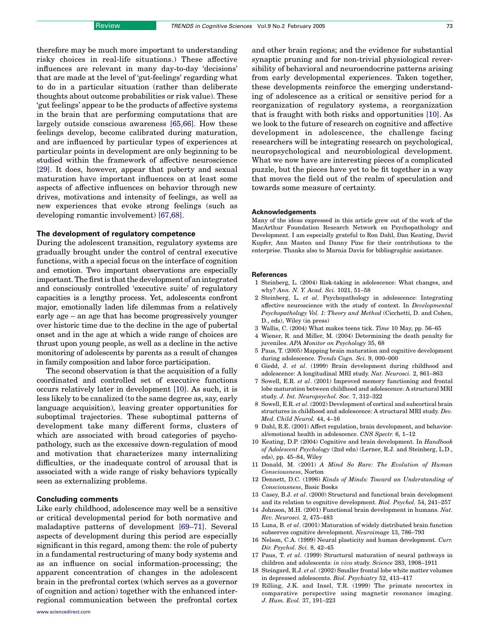<span id="page-4-0"></span>therefore may be much more important to understanding risky choices in real-life situations.) These affective influences are relevant in many day-to-day 'decisions' that are made at the level of 'gut-feelings' regarding what to do in a particular situation (rather than deliberate thoughts about outcome probabilities or risk value). These 'gut feelings' appear to be the products of affective systems in the brain that are performing computations that are largely outside conscious awareness [\[65,66\]](#page-5-0). How these feelings develop, become calibrated during maturation, and are influenced by particular types of experiences at particular points in development are only beginning to be studied within the framework of affective neuroscience [\[29\].](#page-5-0) It does, however, appear that puberty and sexual maturation have important influences on at least some aspects of affective influences on behavior through new drives, motivations and intensity of feelings, as well as new experiences that evoke strong feelings (such as developing romantic involvement) [\[67,68\].](#page-5-0)

#### The development of regulatory competence

During the adolescent transition, regulatory systems are gradually brought under the control of central executive functions, with a special focus on the interface of cognition and emotion. Two important observations are especially important. The first is that the development of an integrated and consciously controlled 'executive suite' of regulatory capacities is a lengthy process. Yet, adolescents confront major, emotionally laden life dilemmas from a relatively early age – an age that has become progressively younger over historic time due to the decline in the age of pubertal onset and in the age at which a wide range of choices are thrust upon young people, as well as a decline in the active monitoring of adolescents by parents as a result of changes in family composition and labor force participation.

The second observation is that the acquisition of a fully coordinated and controlled set of executive functions occurs relatively later in development [10]. As such, it is less likely to be canalized (to the same degree as, say, early language acquisition), leaving greater opportunities for suboptimal trajectories. These suboptimal patterns of development take many different forms, clusters of which are associated with broad categories of psychopathology, such as the excessive down-regulation of mood and motivation that characterizes many internalizing difficulties, or the inadequate control of arousal that is associated with a wide range of risky behaviors typically seen as externalizing problems.

# Concluding comments

Like early childhood, adolescence may well be a sensitive or critical developmental period for both normative and maladaptive patterns of development [\[69–71\].](#page-5-0) Several aspects of development during this period are especially significant in this regard, among them: the role of puberty in a fundamental restructuring of many body systems and as an influence on social information-processing; the apparent concentration of changes in the adolescent brain in the prefrontal cortex (which serves as a governor of cognition and action) together with the enhanced interregional communication between the prefrontal cortex and other brain regions; and the evidence for substantial synaptic pruning and for non-trivial physiological reversibility of behavioral and neuroendocrine patterns arising from early developmental experiences. Taken together, these developments reinforce the emerging understanding of adolescence as a critical or sensitive period for a reorganization of regulatory systems, a reorganization that is fraught with both risks and opportunities [10]. As we look to the future of research on cognitive and affective development in adolescence, the challenge facing researchers will be integrating research on psychological, neuropsychological and neurobiological development. What we now have are interesting pieces of a complicated puzzle, but the pieces have yet to be fit together in a way that moves the field out of the realm of speculation and towards some measure of certainty.

#### Acknowledgements

Many of the ideas expressed in this article grew out of the work of the MacArthur Foundation Research Network on Psychopathology and Development. I am especially grateful to Ron Dahl, Dan Keating, David Kupfer, Ann Masten and Danny Pine for their contributions to the enterprise. Thanks also to Marnia Davis for bibliographic assistance.

#### **References**

- 1 Steinberg, L. (2004) Risk-taking in adolescence: What changes, and why? Ann. N. Y. Acad. Sci. 1021, 51–58
- 2 Steinberg, L. et al. Psychopathology in adolescence: Integrating affective neuroscience with the study of context. In Developmental Psychopathology Vol. 1: Theory and Method (Cicchetti, D. and Cohen, D., eds), Wiley (in press)
- 3 Wallis, C. (2004) What makes teens tick. Time 10 May, pp. 56–65
- 4 Wiener, R. and Miller, M. (2004) Determining the death penalty for juveniles. APA Monitor on Psychology 35, 68
- 5 Paus, T. (2005) Mapping brain maturation and cognitive development during adolescence. Trends Cogn. Sci. 9, 000–000
- 6 Giedd, J. et al. (1999) Brain development during childhood and adolescence: A longitudinal MRI study. Nat. Neurosci. 2, 861–863
- 7 Sowell, E.R. et al. (2001) Improved memory functioning and frontal lobe maturation between childhood and adolescence: A structural MRI study. J. Int. Neuropsychol. Soc. 7, 312–322
- 8 Sowell, E.R. et al. (2002) Development of cortical and subcortical brain structures in childhood and adolescence: A structural MRI study. Dev. Med. Child Neurol. 44, 4–16
- 9 Dahl, R.E. (2001) Affect regulation, brain development, and behavioral/emotional health in adolescence. CNS Spectr. 6, 1–12
- 10 Keating, D.P. (2004) Cognitive and brain development. In Handbook of Adolescent Psychology (2nd edn) (Lerner, R.J. and Steinberg, L.D., eds), pp. 45–84, Wiley
- 11 Donald, M. (2001) A Mind So Rare: The Evolution of Human Consciousness, Norton
- 12 Dennett, D.C. (1996) Kinds of Minds: Toward an Understanding of Consciousness, Basic Books
- 13 Casey, B.J. et al. (2000) Structural and functional brain development and its relation to cognitive development. Biol. Psychol. 54, 241–257
- 14 Johnson, M.H. (2001) Functional brain development in humans. Nat. Rev. Neurosci. 2, 475–483
- 15 Luna, B. et al. (2001) Maturation of widely distributed brain function subserves cognitive development. Neuroimage 13, 786–793
- 16 Nelson, C.A. (1999) Neural plasticity and human development. Curr. Dir. Psychol. Sci. 8, 42–45
- 17 Paus, T. et al. (1999) Structural maturation of neural pathways in children and adolescents: in vivo study. Science 283, 1908–1911
- 18 Steingard, R.J. et al. (2002) Smaller frontal lobe white matter volumes in depressed adolescents. Biol. Psychiatry 52, 413–417
- 19 Rilling, J.K. and Insel, T.R. (1999) The primate neocortex in comparative perspective using magnetic resonance imaging. J. Hum. Evol. 37, 191–223